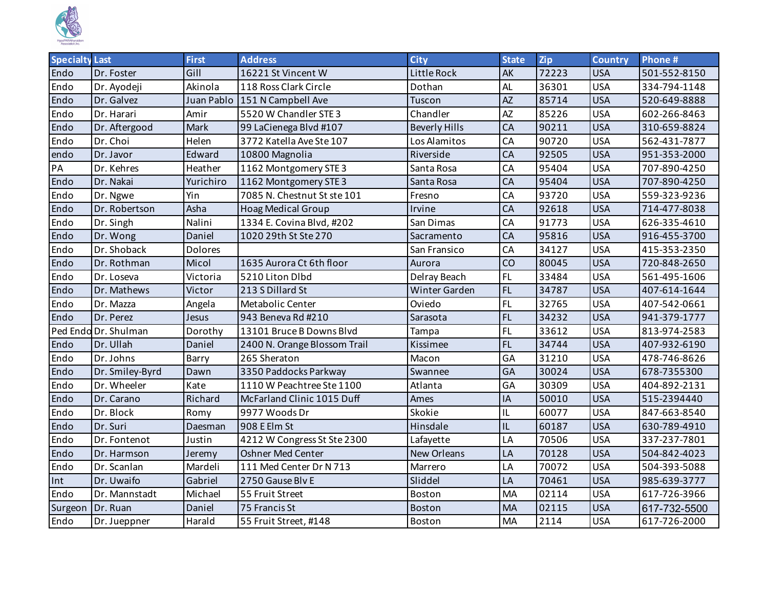

| <b>Specialty Last</b> |                      | <b>First</b> | <b>Address</b>                  | <b>City</b>          | <b>State</b> | <b>Zip</b> | <b>Country</b> | Phone #      |
|-----------------------|----------------------|--------------|---------------------------------|----------------------|--------------|------------|----------------|--------------|
| Endo                  | Dr. Foster           | Gill         | 16221 St Vincent W              | Little Rock          | AK           | 72223      | <b>USA</b>     | 501-552-8150 |
| Endo                  | Dr. Ayodeji          | Akinola      | 118 Ross Clark Circle           | Dothan               | <b>AL</b>    | 36301      | <b>USA</b>     | 334-794-1148 |
| Endo                  | Dr. Galvez           |              | Juan Pablo   151 N Campbell Ave | Tuscon               | <b>AZ</b>    | 85714      | <b>USA</b>     | 520-649-8888 |
| Endo                  | Dr. Harari           | Amir         | 5520 W Chandler STE 3           | Chandler             | AZ           | 85226      | <b>USA</b>     | 602-266-8463 |
| Endo                  | Dr. Aftergood        | Mark         | 99 LaCienega Blvd #107          | <b>Beverly Hills</b> | CA           | 90211      | <b>USA</b>     | 310-659-8824 |
| Endo                  | Dr. Choi             | Helen        | 3772 Katella Ave Ste 107        | Los Alamitos         | CA           | 90720      | <b>USA</b>     | 562-431-7877 |
| endo                  | Dr. Javor            | Edward       | 10800 Magnolia                  | Riverside            | CA           | 92505      | <b>USA</b>     | 951-353-2000 |
| PA                    | Dr. Kehres           | Heather      | 1162 Montgomery STE 3           | Santa Rosa           | CA           | 95404      | <b>USA</b>     | 707-890-4250 |
| Endo                  | Dr. Nakai            | Yurichiro    | 1162 Montgomery STE 3           | Santa Rosa           | CA           | 95404      | <b>USA</b>     | 707-890-4250 |
| Endo                  | Dr. Ngwe             | Yin          | 7085 N. Chestnut St ste 101     | Fresno               | CA           | 93720      | <b>USA</b>     | 559-323-9236 |
| Endo                  | Dr. Robertson        | Asha         | <b>Hoag Medical Group</b>       | Irvine               | CA           | 92618      | <b>USA</b>     | 714-477-8038 |
| Endo                  | Dr. Singh            | Nalini       | 1334 E. Covina Blvd, #202       | San Dimas            | CA           | 91773      | <b>USA</b>     | 626-335-4610 |
| Endo                  | Dr. Wong             | Daniel       | 1020 29th St Ste 270            | Sacramento           | CA           | 95816      | <b>USA</b>     | 916-455-3700 |
| Endo                  | Dr. Shoback          | Dolores      |                                 | San Fransico         | CA           | 34127      | <b>USA</b>     | 415-353-2350 |
| Endo                  | Dr. Rothman          | Micol        | 1635 Aurora Ct 6th floor        | Aurora               | CO           | 80045      | <b>USA</b>     | 720-848-2650 |
| Endo                  | Dr. Loseva           | Victoria     | 5210 Liton Dlbd                 | Delray Beach         | FL.          | 33484      | <b>USA</b>     | 561-495-1606 |
| Endo                  | Dr. Mathews          | Victor       | 213 S Dillard St                | Winter Garden        | FL.          | 34787      | <b>USA</b>     | 407-614-1644 |
| Endo                  | Dr. Mazza            | Angela       | Metabolic Center                | Oviedo               | FL.          | 32765      | <b>USA</b>     | 407-542-0661 |
| Endo                  | Dr. Perez            | Jesus        | 943 Beneva Rd #210              | Sarasota             | FL.          | 34232      | <b>USA</b>     | 941-379-1777 |
|                       | Ped Endo Dr. Shulman | Dorothy      | 13101 Bruce B Downs Blvd        | Tampa                | FL.          | 33612      | <b>USA</b>     | 813-974-2583 |
| Endo                  | Dr. Ullah            | Daniel       | 2400 N. Orange Blossom Trail    | Kissimee             | FL.          | 34744      | <b>USA</b>     | 407-932-6190 |
| Endo                  | Dr. Johns            | Barry        | 265 Sheraton                    | Macon                | GA           | 31210      | <b>USA</b>     | 478-746-8626 |
| Endo                  | Dr. Smiley-Byrd      | Dawn         | 3350 Paddocks Parkway           | Swannee              | GA           | 30024      | <b>USA</b>     | 678-7355300  |
| Endo                  | Dr. Wheeler          | Kate         | 1110 W Peachtree Ste 1100       | Atlanta              | GA           | 30309      | <b>USA</b>     | 404-892-2131 |
| Endo                  | Dr. Carano           | Richard      | McFarland Clinic 1015 Duff      | Ames                 | IA           | 50010      | <b>USA</b>     | 515-2394440  |
| Endo                  | Dr. Block            | Romy         | 9977 Woods Dr                   | Skokie               | IL           | 60077      | <b>USA</b>     | 847-663-8540 |
| Endo                  | Dr. Suri             | Daesman      | 908 E Elm St                    | Hinsdale             | IL           | 60187      | <b>USA</b>     | 630-789-4910 |
| Endo                  | Dr. Fontenot         | Justin       | 4212 W Congress St Ste 2300     | Lafayette            | LA           | 70506      | <b>USA</b>     | 337-237-7801 |
| Endo                  | Dr. Harmson          | Jeremy       | <b>Oshner Med Center</b>        | <b>New Orleans</b>   | LA           | 70128      | <b>USA</b>     | 504-842-4023 |
| Endo                  | Dr. Scanlan          | Mardeli      | 111 Med Center Dr N 713         | Marrero              | LA           | 70072      | <b>USA</b>     | 504-393-5088 |
| Int                   | Dr. Uwaifo           | Gabriel      | 2750 Gause Blv E                | Sliddel              | LA           | 70461      | <b>USA</b>     | 985-639-3777 |
| Endo                  | Dr. Mannstadt        | Michael      | 55 Fruit Street                 | Boston               | MA           | 02114      | <b>USA</b>     | 617-726-3966 |
| Surgeon               | Dr. Ruan             | Daniel       | 75 Francis St                   | <b>Boston</b>        | <b>MA</b>    | 02115      | <b>USA</b>     | 617-732-5500 |
| Endo                  | Dr. Jueppner         | Harald       | 55 Fruit Street, #148           | Boston               | MA           | 2114       | <b>USA</b>     | 617-726-2000 |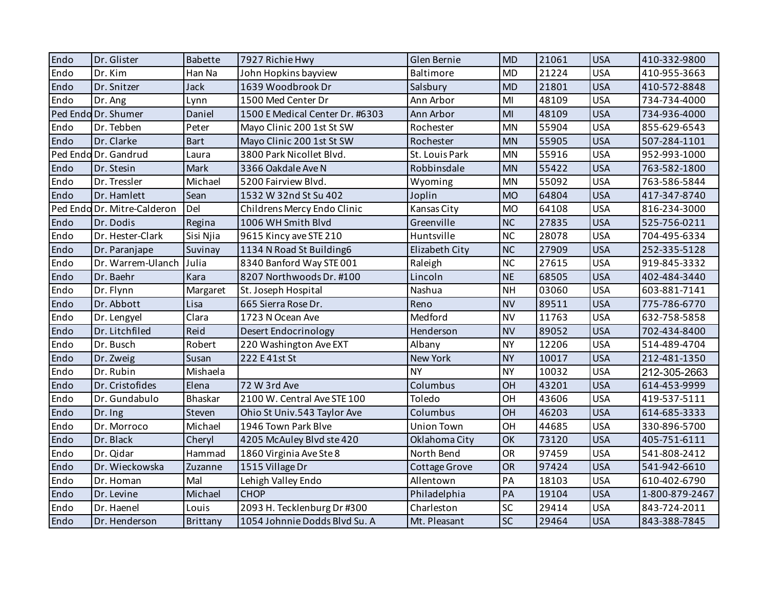| Endo | Dr. Glister                 | <b>Babette</b> | 7927 Richie Hwy                 | Glen Bernie       | <b>MD</b>      | 21061 | <b>USA</b> | 410-332-9800   |
|------|-----------------------------|----------------|---------------------------------|-------------------|----------------|-------|------------|----------------|
| Endo | Dr. Kim                     | Han Na         | John Hopkins bayview            | <b>Baltimore</b>  | <b>MD</b>      | 21224 | <b>USA</b> | 410-955-3663   |
| Endo | Dr. Snitzer                 | Jack           | 1639 Woodbrook Dr               | Salsbury          | <b>MD</b>      | 21801 | <b>USA</b> | 410-572-8848   |
| Endo | Dr. Ang                     | Lynn           | 1500 Med Center Dr              | Ann Arbor         | MI             | 48109 | <b>USA</b> | 734-734-4000   |
|      | Ped Endo Dr. Shumer         | Daniel         | 1500 E Medical Center Dr. #6303 | Ann Arbor         | M <sub>l</sub> | 48109 | <b>USA</b> | 734-936-4000   |
| Endo | Dr. Tebben                  | Peter          | Mayo Clinic 200 1st St SW       | Rochester         | <b>MN</b>      | 55904 | <b>USA</b> | 855-629-6543   |
| Endo | Dr. Clarke                  | <b>Bart</b>    | Mayo Clinic 200 1st St SW       | Rochester         | <b>MN</b>      | 55905 | <b>USA</b> | 507-284-1101   |
|      | Ped Endo Dr. Gandrud        | Laura          | 3800 Park Nicollet Blvd.        | St. Louis Park    | <b>MN</b>      | 55916 | <b>USA</b> | 952-993-1000   |
| Endo | Dr. Stesin                  | Mark           | 3366 Oakdale Ave N              | Robbinsdale       | <b>MN</b>      | 55422 | <b>USA</b> | 763-582-1800   |
| Endo | Dr. Tressler                | Michael        | 5200 Fairview Blvd.             | Wyoming           | <b>MN</b>      | 55092 | <b>USA</b> | 763-586-5844   |
| Endo | Dr. Hamlett                 | Sean           | 1532 W 32nd St Su 402           | Joplin            | <b>MO</b>      | 64804 | <b>USA</b> | 417-347-8740   |
|      | Ped Endo Dr. Mitre-Calderon | Del            | Childrens Mercy Endo Clinic     | Kansas City       | <b>MO</b>      | 64108 | <b>USA</b> | 816-234-3000   |
| Endo | Dr. Dodis                   | Regina         | 1006 WH Smith Blvd              | Greenville        | <b>NC</b>      | 27835 | <b>USA</b> | 525-756-0211   |
| Endo | Dr. Hester-Clark            | Sisi Njia      | 9615 Kincy ave STE 210          | Huntsville        | <b>NC</b>      | 28078 | <b>USA</b> | 704-495-6334   |
| Endo | Dr. Paranjape               | Suvinay        | 1134 N Road St Building6        | Elizabeth City    | <b>NC</b>      | 27909 | <b>USA</b> | 252-335-5128   |
| Endo | Dr. Warrem-Ulanch           | Julia          | 8340 Banford Way STE 001        | Raleigh           | NC             | 27615 | <b>USA</b> | 919-845-3332   |
| Endo | Dr. Baehr                   | Kara           | 8207 Northwoods Dr. #100        | Lincoln           | <b>NE</b>      | 68505 | <b>USA</b> | 402-484-3440   |
| Endo | Dr. Flynn                   | Margaret       | St. Joseph Hospital             | Nashua            | <b>NH</b>      | 03060 | <b>USA</b> | 603-881-7141   |
| Endo | Dr. Abbott                  | Lisa           | 665 Sierra Rose Dr.             | Reno              | <b>NV</b>      | 89511 | <b>USA</b> | 775-786-6770   |
| Endo | Dr. Lengyel                 | Clara          | 1723 N Ocean Ave                | Medford           | <b>NV</b>      | 11763 | <b>USA</b> | 632-758-5858   |
| Endo | Dr. Litchfiled              | Reid           | Desert Endocrinology            | Henderson         | <b>NV</b>      | 89052 | <b>USA</b> | 702-434-8400   |
| Endo | Dr. Busch                   | Robert         | 220 Washington Ave EXT          | Albany            | <b>NY</b>      | 12206 | <b>USA</b> | 514-489-4704   |
| Endo | Dr. Zweig                   | Susan          | 222 E 41st St                   | New York          | <b>NY</b>      | 10017 | <b>USA</b> | 212-481-1350   |
| Endo | Dr. Rubin                   | Mishaela       |                                 | <b>NY</b>         | <b>NY</b>      | 10032 | <b>USA</b> | 212-305-2663   |
| Endo | Dr. Cristofides             | Elena          | 72 W 3rd Ave                    | Columbus          | OH             | 43201 | <b>USA</b> | 614-453-9999   |
| Endo | Dr. Gundabulo               | Bhaskar        | 2100 W. Central Ave STE 100     | Toledo            | OH             | 43606 | <b>USA</b> | 419-537-5111   |
| Endo | Dr. Ing                     | Steven         | Ohio St Univ.543 Taylor Ave     | Columbus          | OH             | 46203 | <b>USA</b> | 614-685-3333   |
| Endo | Dr. Morroco                 | Michael        | 1946 Town Park Blve             | <b>Union Town</b> | OH             | 44685 | <b>USA</b> | 330-896-5700   |
| Endo | Dr. Black                   | Cheryl         | 4205 McAuley Blvd ste 420       | Oklahoma City     | OK             | 73120 | <b>USA</b> | 405-751-6111   |
| Endo | Dr. Qidar                   | Hammad         | 1860 Virginia Ave Ste 8         | North Bend        | OR             | 97459 | <b>USA</b> | 541-808-2412   |
| Endo | Dr. Wieckowska              | Zuzanne        | 1515 Village Dr                 | Cottage Grove     | <b>OR</b>      | 97424 | <b>USA</b> | 541-942-6610   |
| Endo | Dr. Homan                   | Mal            | Lehigh Valley Endo              | Allentown         | PA             | 18103 | <b>USA</b> | 610-402-6790   |
| Endo | Dr. Levine                  | Michael        | <b>CHOP</b>                     | Philadelphia      | PA             | 19104 | <b>USA</b> | 1-800-879-2467 |
| Endo | Dr. Haenel                  | Louis          | 2093 H. Tecklenburg Dr #300     | Charleston        | SC             | 29414 | <b>USA</b> | 843-724-2011   |
| Endo | Dr. Henderson               | Brittany       | 1054 Johnnie Dodds Blvd Su. A   | Mt. Pleasant      | SC             | 29464 | <b>USA</b> | 843-388-7845   |